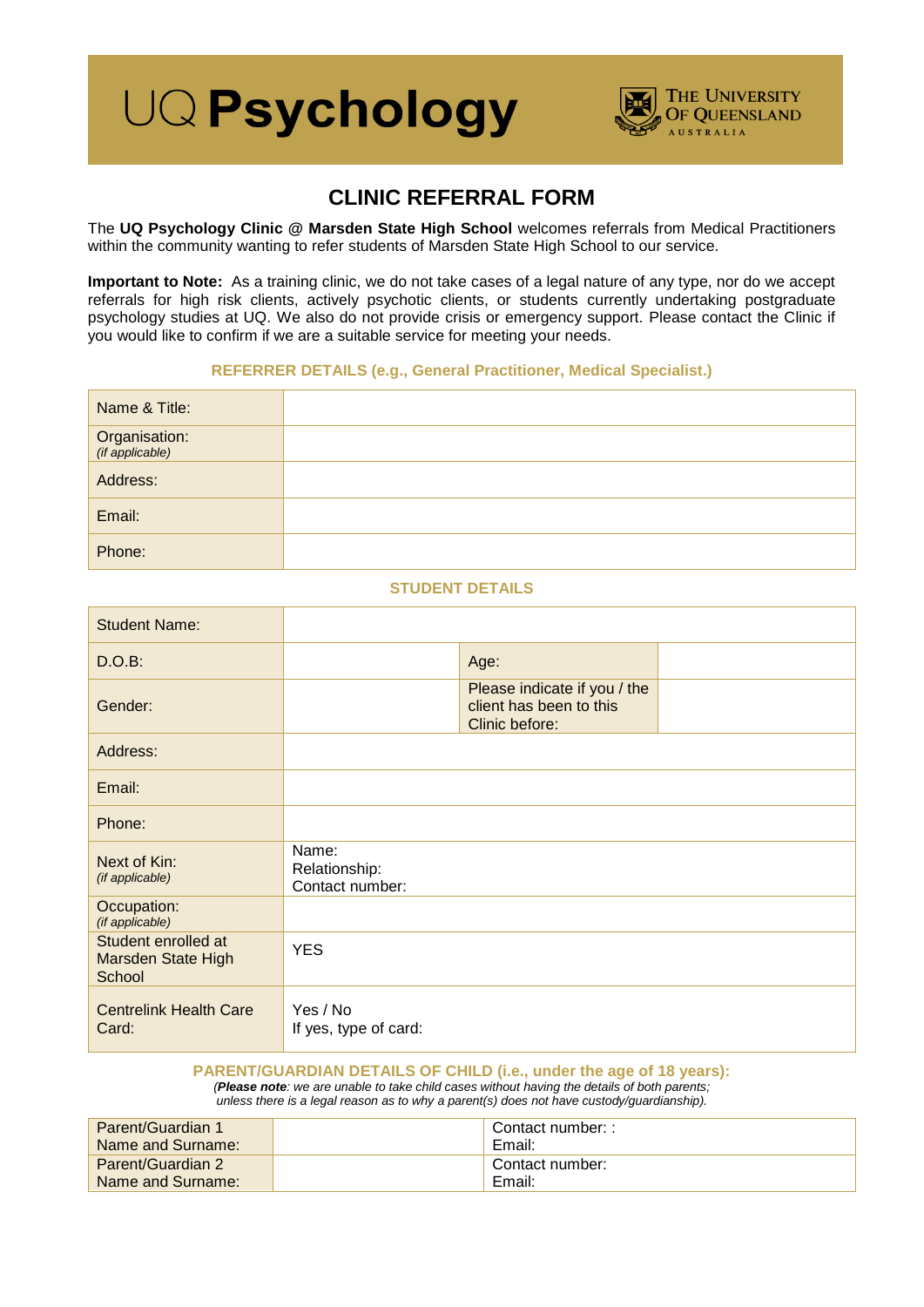# **UQ Psychology**



# **CLINIC REFERRAL FORM**

The **UQ Psychology Clinic @ Marsden State High School** welcomes referrals from Medical Practitioners within the community wanting to refer students of Marsden State High School to our service.

**Important to Note:** As a training clinic, we do not take cases of a legal nature of any type, nor do we accept referrals for high risk clients, actively psychotic clients, or students currently undertaking postgraduate psychology studies at UQ. We also do not provide crisis or emergency support. Please contact the Clinic if you would like to confirm if we are a suitable service for meeting your needs.

## **REFERRER DETAILS (e.g., General Practitioner, Medical Specialist.)**

| Name & Title:                    |  |
|----------------------------------|--|
| Organisation:<br>(if applicable) |  |
| Address:                         |  |
| Email:                           |  |
| Phone:                           |  |

### **STUDENT DETAILS**

| <b>Student Name:</b>                                |                                           |                                                                           |  |
|-----------------------------------------------------|-------------------------------------------|---------------------------------------------------------------------------|--|
| D.O.B:                                              |                                           | Age:                                                                      |  |
| Gender:                                             |                                           | Please indicate if you / the<br>client has been to this<br>Clinic before: |  |
| Address:                                            |                                           |                                                                           |  |
| Email:                                              |                                           |                                                                           |  |
| Phone:                                              |                                           |                                                                           |  |
| Next of Kin:<br>(if applicable)                     | Name:<br>Relationship:<br>Contact number: |                                                                           |  |
| Occupation:<br>(if applicable)                      |                                           |                                                                           |  |
| Student enrolled at<br>Marsden State High<br>School | <b>YES</b>                                |                                                                           |  |
| <b>Centrelink Health Care</b><br>Card:              | Yes / No<br>If yes, type of card:         |                                                                           |  |

# **PARENT/GUARDIAN DETAILS OF CHILD (i.e., under the age of 18 years):**

*(Please note: we are unable to take child cases without having the details of both parents;*

*unless there is a legal reason as to why a parent(s) does not have custody/guardianship).*

| <b>Parent/Guardian 1</b> | Contact number: : |
|--------------------------|-------------------|
| Name and Surname:        | Email:            |
| <b>Parent/Guardian 2</b> | Contact number:   |
| Name and Surname:        | Email:            |